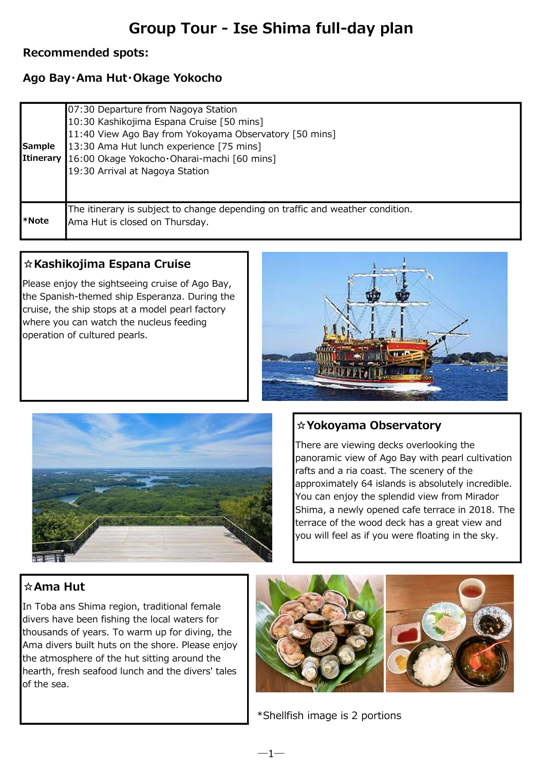# Group Tour - Ise Shima full-day plan

### Recommended spots:

## Ago Bay・Ama Hut・Okage Yokocho

| Sample<br>Itinerary | 07:30 Departure from Nagoya Station<br>10:30 Kashikojima Espana Cruise [50 mins]<br>11:40 View Ago Bay from Yokoyama Observatory [50 mins]<br>13:30 Ama Hut lunch experience [75 mins]<br>16:00 Okage Yokocho · Oharai-machi [60 mins]<br>19:30 Arrival at Nagoya Station |
|---------------------|---------------------------------------------------------------------------------------------------------------------------------------------------------------------------------------------------------------------------------------------------------------------------|
| I*Note              | The itinerary is subject to change depending on traffic and weather condition.<br>Ama Hut is closed on Thursday.                                                                                                                                                          |

### ☆Kashikojima Espana Cruise

Please enjoy the sightseeing cruise of Ago Bay, the Spanish-themed ship Esperanza. During the cruise, the ship stops at a model pearl factory where you can watch the nucleus feeding operation of cultured pearls.





### ☆Yokoyama Observatory

There are viewing decks overlooking the panoramic view of Ago Bay with pearl cultivation rafts and a ria coast. The scenery of the approximately 64 islands is absolutely incredible. You can enjoy the splendid view from Mirador Shima, a newly opened cafe terrace in 2018. The terrace of the wood deck has a great view and you will feel as if you were floating in the sky.

### ☆Ama Hut

In Toba ans Shima region, traditional female divers have been fishing the local waters for thousands of years. To warm up for diving, the Ama divers built huts on the shore. Please enjoy the atmosphere of the hut sitting around the hearth, fresh seafood lunch and the divers' tales of the sea.



\*Shellfish image is 2 portions

 $-1-$